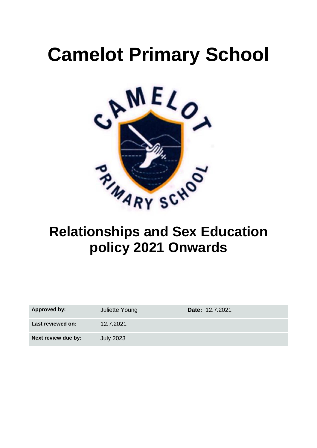# **Camelot Primary School**



# **Relationships and Sex Education policy 2021 Onwards**

| Approved by:        | Juliette Young   | <b>Date: 12.7.2021</b> |
|---------------------|------------------|------------------------|
| Last reviewed on:   | 12.7.2021        |                        |
| Next review due by: | <b>July 2023</b> |                        |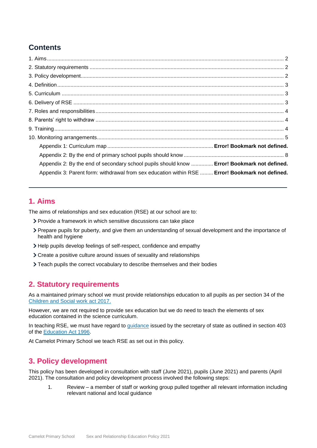# **Contents**

| Appendix 2: By the end of secondary school pupils should know  Error! Bookmark not defined.     |  |
|-------------------------------------------------------------------------------------------------|--|
| Appendix 3: Parent form: withdrawal from sex education within RSE  Error! Bookmark not defined. |  |

# <span id="page-1-0"></span>**1. Aims**

The aims of relationships and sex education (RSE) at our school are to:

- Provide a framework in which sensitive discussions can take place
- Prepare pupils for puberty, and give them an understanding of sexual development and the importance of health and hygiene
- Help pupils develop feelings of self-respect, confidence and empathy
- Create a positive culture around issues of sexuality and relationships
- > Teach pupils the correct vocabulary to describe themselves and their bodies

# <span id="page-1-1"></span>**2. Statutory requirements**

As a maintained primary school we must provide relationships education to all pupils as per section 34 of the [Children and Social work act 2017.](http://www.legislation.gov.uk/ukpga/2017/16/section/34/enacted)

However, we are not required to provide sex education but we do need to teach the elements of sex education contained in the science curriculum.

In teaching RSE, we must have regard to [guidance](https://www.gov.uk/government/consultations/relationships-and-sex-education-and-health-education) issued by the secretary of state as outlined in section 403 of the [Education Act 1996.](http://www.legislation.gov.uk/ukpga/1996/56/contents)

At Camelot Primary School we teach RSE as set out in this policy.

# <span id="page-1-2"></span>**3. Policy development**

This policy has been developed in consultation with staff (June 2021), pupils (June 2021) and parents (April 2021). The consultation and policy development process involved the following steps:

1. Review – a member of staff or working group pulled together all relevant information including relevant national and local guidance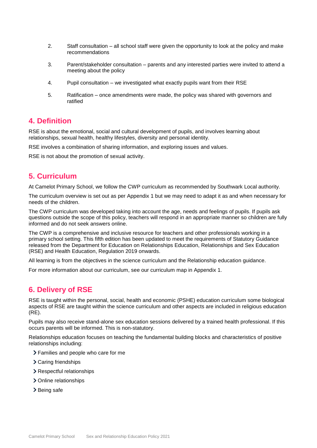- 2. Staff consultation all school staff were given the opportunity to look at the policy and make recommendations
- 3. Parent/stakeholder consultation parents and any interested parties were invited to attend a meeting about the policy
- 4. Pupil consultation we investigated what exactly pupils want from their RSE
- 5. Ratification once amendments were made, the policy was shared with governors and ratified

#### <span id="page-2-0"></span>**4. Definition**

RSE is about the emotional, social and cultural development of pupils, and involves learning about relationships, sexual health, healthy lifestyles, diversity and personal identity.

RSE involves a combination of sharing information, and exploring issues and values.

RSE is not about the promotion of sexual activity.

### <span id="page-2-1"></span>**5. Curriculum**

At Camelot Primary School, we follow the CWP curriculum as recommended by Southwark Local authority.

The curriculum overview is set out as per Appendix 1 but we may need to adapt it as and when necessary for needs of the children.

The CWP curriculum was developed taking into account the age, needs and feelings of pupils. If pupils ask questions outside the scope of this policy, teachers will respond in an appropriate manner so children are fully informed and do not seek answers online.

The CWP is a comprehensive and inclusive resource for teachers and other professionals working in a primary school setting. This fifth edition has been updated to meet the requirements of Statutory Guidance released from the Department for Education on Relationships Education, Relationships and Sex Education (RSE) and Health Education, Regulation 2019 onwards.

All learning is from the objectives in the science curriculum and the Relationship education guidance.

For more information about our curriculum, see our curriculum map in Appendix 1.

## <span id="page-2-2"></span>**6. Delivery of RSE**

RSE is taught within the personal, social, health and economic (PSHE) education curriculum some biological aspects of RSE are taught within the science curriculum and other aspects are included in religious education (RE).

Pupils may also receive stand-alone sex education sessions delivered by a trained health professional. If this occurs parents will be informed. This is non-statutory.

Relationships education focuses on teaching the fundamental building blocks and characteristics of positive relationships including:

- Families and people who care for me
- > Caring friendships
- > Respectful relationships
- > Online relationships
- > Being safe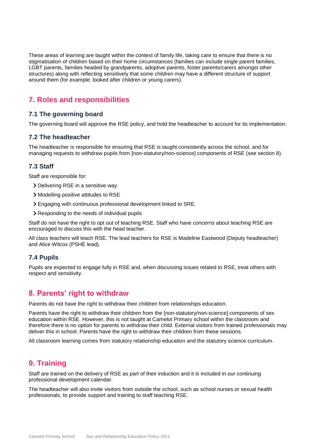These areas of learning are taught within the context of family life, taking care to ensure that there is no stigmatisation of children based on their home circumstances (families can include single parent families, LGBT parents, families headed by grandparents, adoptive parents, foster parents/carers amongst other structures) along with reflecting sensitively that some children may have a different structure of support around them (for example: looked after children or young carers).

# <span id="page-3-0"></span>**7. Roles and responsibilities**

#### **7.1 The governing board**

The governing board will approve the RSE policy, and hold the headteacher to account for its implementation.

#### **7.2 The headteacher**

The headteacher is responsible for ensuring that RSE is taught consistently across the school, and for managing requests to withdraw pupils from [non-statutory/non-science] components of RSE (see section 8).

#### **7.3 Staff**

Staff are responsible for:

- Delivering RSE in a sensitive way
- Modelling positive attitudes to RSE
- Engaging with continuous professional development linked to SRE.
- Responding to the needs of individual pupils

Staff do not have the right to opt out of teaching RSE. Staff who have concerns about teaching RSE are encouraged to discuss this with the head teacher.

All class teachers will teach RSE. The lead teachers for RSE is Madeline Eastwood (Deputy headteacher) and Alice Wilcox (PSHE lead).

#### **7.4 Pupils**

Pupils are expected to engage fully in RSE and, when discussing issues related to RSE, treat others with respect and sensitivity.

### <span id="page-3-1"></span>**8. Parents' right to withdraw**

Parents do not have the right to withdraw their children from relationships education.

Parents have the right to withdraw their children from the [non-statutory/non-science] components of sex education within RSE. However, this is not taught at Camelot Primary school within the classroom and therefore there is no option for parents to withdraw their child. External visitors from trained professionals may deliver this in school. Parents have the right to withdraw their children from these sessions.

All classroom learning comes from statutory relationship education and the statutory science curriculum.

# <span id="page-3-2"></span>**9. Training**

Staff are trained on the delivery of RSE as part of their induction and it is included in our continuing professional development calendar.

The headteacher will also invite visitors from outside the school, such as school nurses or sexual health professionals, to provide support and training to staff teaching RSE.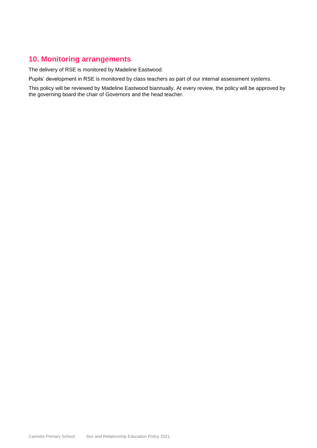# <span id="page-4-0"></span>**10. Monitoring arrangements**

The delivery of RSE is monitored by Madeline Eastwood.

Pupils' development in RSE is monitored by class teachers as part of our internal assessment systems.

This policy will be reviewed by Madeline Eastwood biannually. At every review, the policy will be approved by the governing board the chair of Governors and the head teacher.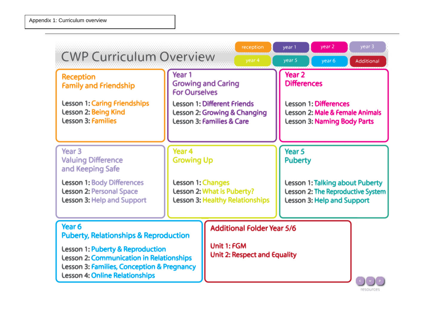| <b>CWP Curriculum Overview</b>                                                                                                                                                                                                               |                                                                                                                                                                                                                                                                                                                                                     | reception<br>year 4                                                                     | year 1<br>year 5 | year 2<br>year 6                                                                                                                   | year 3<br>Additional                                                                                                                                                                 |
|----------------------------------------------------------------------------------------------------------------------------------------------------------------------------------------------------------------------------------------------|-----------------------------------------------------------------------------------------------------------------------------------------------------------------------------------------------------------------------------------------------------------------------------------------------------------------------------------------------------|-----------------------------------------------------------------------------------------|------------------|------------------------------------------------------------------------------------------------------------------------------------|--------------------------------------------------------------------------------------------------------------------------------------------------------------------------------------|
| <b>Reception</b><br><b>Family and Friendship</b><br><b>Lesson 1: Caring Friendships</b><br>Lesson 2: Being Kind<br><b>Lesson 3: Families</b>                                                                                                 | Year 1<br>Year <sub>2</sub><br><b>Differences</b><br><b>Growing and Caring</b><br><b>For Ourselves</b><br><b>Lesson 1: Different Friends</b><br><b>Lesson 1: Differences</b><br><b>Lesson 2: Growing &amp; Changing</b><br><b>Lesson 2: Male &amp; Female Animals</b><br><b>Lesson 3: Families &amp; Care</b><br><b>Lesson 3: Naming Body Parts</b> |                                                                                         |                  |                                                                                                                                    |                                                                                                                                                                                      |
| Year <sub>3</sub><br><b>Valuing Difference</b><br>and Keeping Safe<br><b>Lesson 1: Body Differences</b><br><b>Lesson 2: Personal Space</b><br><b>Lesson 3: Help and Support</b>                                                              | Year <sub>4</sub><br><b>Growing Up</b><br>Lesson 1: Changes<br>Lesson 2: What is Puberty?<br><b>Lesson 3: Healthy Relationships</b>                                                                                                                                                                                                                 |                                                                                         | Year 5           | <b>Puberty</b><br><b>Lesson 1: Talking about Puberty</b><br>Lesson 2: The Reproductive System<br><b>Lesson 3: Help and Support</b> |                                                                                                                                                                                      |
| Year <sub>6</sub><br><b>Puberty, Relationships &amp; Reproduction</b><br>Lesson 1: Puberty & Reproduction<br>Lesson 2: Communication in Relationships<br>Lesson 3: Families, Conception & Pregnancy<br><b>Lesson 4: Online Relationships</b> |                                                                                                                                                                                                                                                                                                                                                     | <b>Additional Folder Year 5/6</b><br>Unit 1: FGM<br><b>Unit 2: Respect and Equality</b> |                  |                                                                                                                                    | $\begin{array}{c} \begin{array}{c} \mathbf{c} \end{array} \end{array} \begin{bmatrix} \begin{array}{c} \mathbf{w} \end{array} \end{bmatrix} \begin{array}{c} \mathbf{p} \end{array}$ |

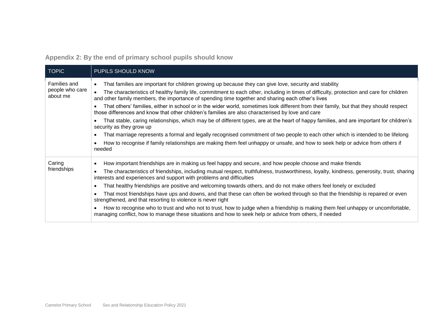**Appendix 2: By the end of primary school pupils should know**

<span id="page-7-0"></span>

| TOPIC                                       | PUPILS SHOULD KNOW                                                                                                                                                                                                                                                                                                                                                                                                                                                                                                                                                                                                                                                                                                                                                                                                                                                                                                                                                                                                                                              |
|---------------------------------------------|-----------------------------------------------------------------------------------------------------------------------------------------------------------------------------------------------------------------------------------------------------------------------------------------------------------------------------------------------------------------------------------------------------------------------------------------------------------------------------------------------------------------------------------------------------------------------------------------------------------------------------------------------------------------------------------------------------------------------------------------------------------------------------------------------------------------------------------------------------------------------------------------------------------------------------------------------------------------------------------------------------------------------------------------------------------------|
| Families and<br>people who care<br>about me | That families are important for children growing up because they can give love, security and stability<br>The characteristics of healthy family life, commitment to each other, including in times of difficulty, protection and care for children<br>and other family members, the importance of spending time together and sharing each other's lives<br>That others' families, either in school or in the wider world, sometimes look different from their family, but that they should respect<br>those differences and know that other children's families are also characterised by love and care<br>That stable, caring relationships, which may be of different types, are at the heart of happy families, and are important for children's<br>security as they grow up<br>That marriage represents a formal and legally recognised commitment of two people to each other which is intended to be lifelong<br>How to recognise if family relationships are making them feel unhappy or unsafe, and how to seek help or advice from others if<br>needed |
| Caring<br>friendships                       | How important friendships are in making us feel happy and secure, and how people choose and make friends<br>The characteristics of friendships, including mutual respect, truthfulness, trustworthiness, loyalty, kindness, generosity, trust, sharing<br>interests and experiences and support with problems and difficulties<br>That healthy friendships are positive and welcoming towards others, and do not make others feel lonely or excluded<br>That most friendships have ups and downs, and that these can often be worked through so that the friendship is repaired or even<br>strengthened, and that resorting to violence is never right<br>How to recognise who to trust and who not to trust, how to judge when a friendship is making them feel unhappy or uncomfortable,<br>managing conflict, how to manage these situations and how to seek help or advice from others, if needed                                                                                                                                                           |